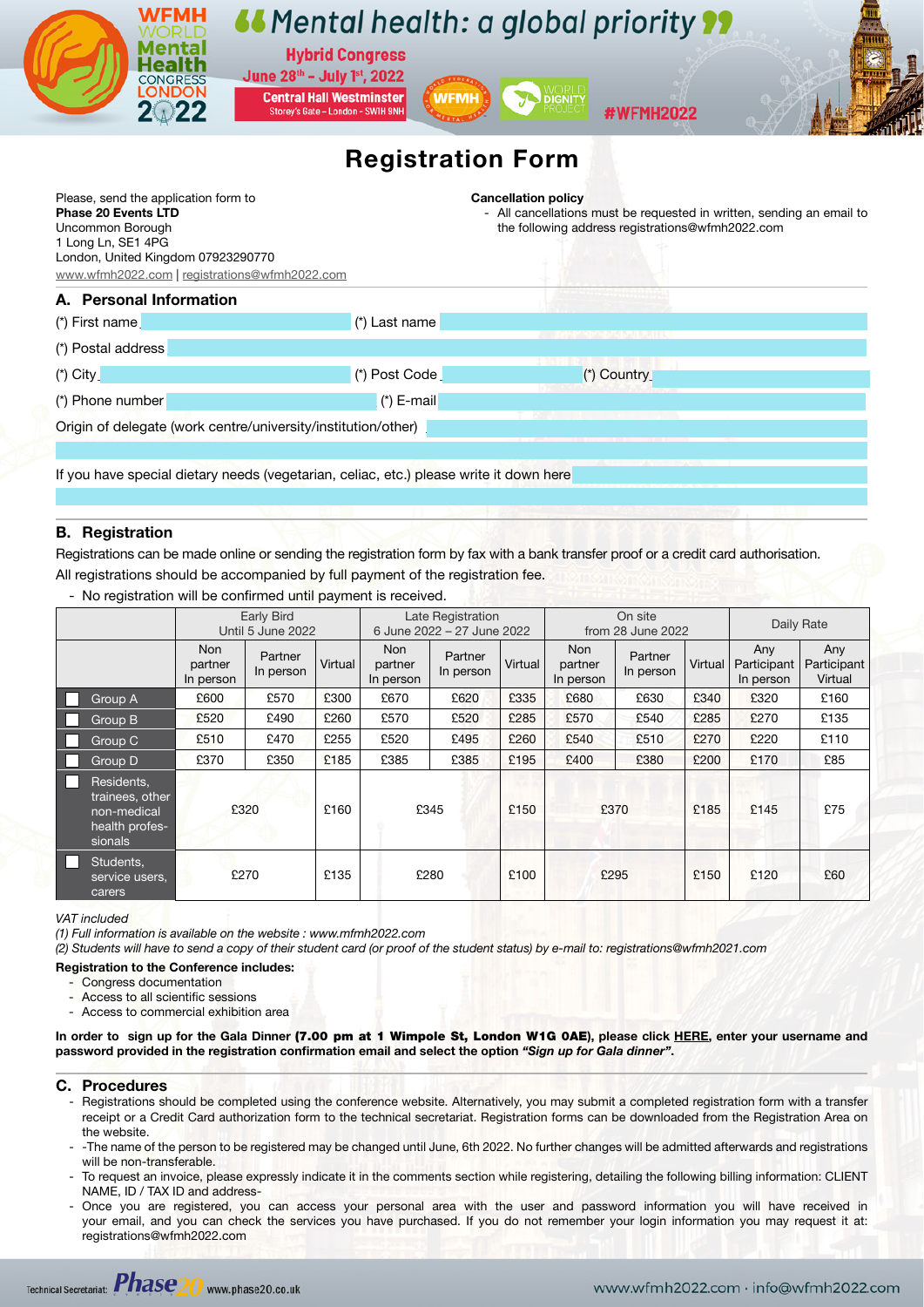

# B. Registration

Registrations can be made online or sending the registration form by fax with a bank transfer proof or a credit card authorisation. All registrations should be accompanied by full payment of the registration fee.

|                                                                           | <b>Early Bird</b><br>Until 5 June 2022 |                      |         | Late Registration<br>6 June 2022 - 27 June 2022 |                      |         | On site<br>from 28 June 2022       |                      |         | Daily Rate                      |                               |
|---------------------------------------------------------------------------|----------------------------------------|----------------------|---------|-------------------------------------------------|----------------------|---------|------------------------------------|----------------------|---------|---------------------------------|-------------------------------|
|                                                                           | Non<br>partner<br>In person            | Partner<br>In person | Virtual | Non<br>partner<br>In person                     | Partner<br>In person | Virtual | <b>Non</b><br>partner<br>In person | Partner<br>In person | Virtual | Any<br>Participant<br>In person | Any<br>Participant<br>Virtual |
| Group A                                                                   | £600                                   | £570                 | £300    | £670                                            | £620                 | £335    | £680                               | £630                 | £340    | £320                            | £160                          |
| Group B                                                                   | £520                                   | £490                 | £260    | £570                                            | £520                 | £285    | £570                               | £540                 | £285    | £270                            | £135                          |
| Group C                                                                   | £510                                   | £470                 | £255    | £520                                            | £495                 | £260    | £540                               | £510                 | £270    | £220                            | £110                          |
| Group D                                                                   | £370                                   | £350                 | £185    | £385                                            | £385                 | £195    | £400                               | £380                 | £200    | £170                            | £85                           |
| Residents,<br>trainees, other<br>non-medical<br>health profes-<br>sionals | £320                                   |                      | £160    | £345                                            |                      | £150    | £370                               |                      | £185    | £145                            | £75                           |
| Students,<br>H.<br>service users.<br>carers                               | £270                                   |                      | £135    | £280                                            |                      | £100    | £295                               |                      | £150    | £120                            | £60                           |

No registration will be confirmed until payment is received.

#### *VAT included*

*(1) Full information is available on the website : www.mfmh2022.com*

*(2) Students will have to send a copy of their student card (or proof of the student status) by e-mail to: registrations@wfmh2021.com*

### Registration to the Conference includes:

- Congress documentation

- Access to all scientific sessions
- Access to commercial exhibition area

In order to sign up for the Gala Dinner (7.00 pm at 1 Wimpole St, London W1G OAE), please click HERE, enter your username and [password provided in the registration confirmation email and select the option](https://www.wfmh2022.com/index.php?seccion=privateArea&subSeccion=login) *"Sign up for Gala dinner"*.

### C. Procedures

- Registrations should be completed using the conference website. Alternatively, you may submit a completed registration form with a transfer receipt or a Credit Card authorization form to the technical secretariat. Registration forms can be downloaded from the Registration Area on the website.
- The name of the person to be registered may be changed until June, 6th 2022. No further changes will be admitted afterwards and registrations will be non-transferable.
- To request an invoice, please expressly indicate it in the comments section while registering, detailing the following billing information: CLIENT NAME, ID / TAX ID and address-
- Once you are registered, you can access your personal area with the user and password information you will have received in your email, and you can check the services you have purchased. If you do not remember your login information you may request it at: registrations@wfmh2022.com